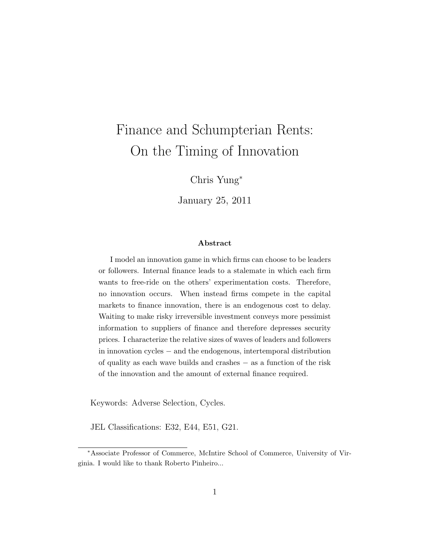# Finance and Schumpterian Rents: On the Timing of Innovation

Chris Yung<sup>∗</sup>

January 25, 2011

#### Abstract

I model an innovation game in which firms can choose to be leaders or followers. Internal finance leads to a stalemate in which each firm wants to free-ride on the others' experimentation costs. Therefore, no innovation occurs. When instead firms compete in the capital markets to finance innovation, there is an endogenous cost to delay. Waiting to make risky irreversible investment conveys more pessimist information to suppliers of finance and therefore depresses security prices. I characterize the relative sizes of waves of leaders and followers in innovation cycles − and the endogenous, intertemporal distribution of quality as each wave builds and crashes − as a function of the risk of the innovation and the amount of external finance required.

Keywords: Adverse Selection, Cycles.

JEL Classifications: E32, E44, E51, G21.

<sup>∗</sup>Associate Professor of Commerce, McIntire School of Commerce, University of Virginia. I would like to thank Roberto Pinheiro...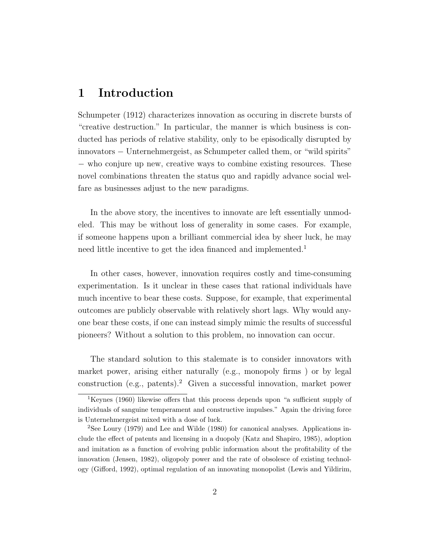#### 1 Introduction

Schumpeter (1912) characterizes innovation as occuring in discrete bursts of "creative destruction." In particular, the manner is which business is conducted has periods of relative stability, only to be episodically disrupted by innovators − Unternehmergeist, as Schumpeter called them, or "wild spirits" − who conjure up new, creative ways to combine existing resources. These novel combinations threaten the status quo and rapidly advance social welfare as businesses adjust to the new paradigms.

In the above story, the incentives to innovate are left essentially unmodeled. This may be without loss of generality in some cases. For example, if someone happens upon a brilliant commercial idea by sheer luck, he may need little incentive to get the idea financed and implemented.<sup>1</sup>

In other cases, however, innovation requires costly and time-consuming experimentation. Is it unclear in these cases that rational individuals have much incentive to bear these costs. Suppose, for example, that experimental outcomes are publicly observable with relatively short lags. Why would anyone bear these costs, if one can instead simply mimic the results of successful pioneers? Without a solution to this problem, no innovation can occur.

The standard solution to this stalemate is to consider innovators with market power, arising either naturally (e.g., monopoly firms ) or by legal construction (e.g., patents).<sup>2</sup> Given a successful innovation, market power

<sup>1</sup>Keynes (1960) likewise offers that this process depends upon "a sufficient supply of individuals of sanguine temperament and constructive impulses." Again the driving force is Unternehmergeist mixed with a dose of luck.

<sup>2</sup>See Loury (1979) and Lee and Wilde (1980) for canonical analyses. Applications include the effect of patents and licensing in a duopoly (Katz and Shapiro, 1985), adoption and imitation as a function of evolving public information about the profitability of the innovation (Jensen, 1982), oligopoly power and the rate of obsolesce of existing technology (Gifford, 1992), optimal regulation of an innovating monopolist (Lewis and Yildirim,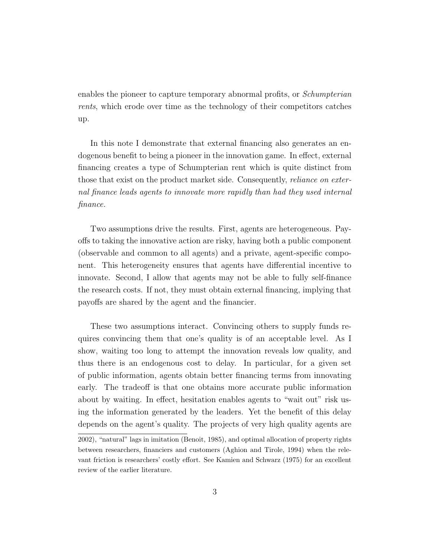enables the pioneer to capture temporary abnormal profits, or *Schumpterian* rents, which erode over time as the technology of their competitors catches up.

In this note I demonstrate that external financing also generates an endogenous benefit to being a pioneer in the innovation game. In effect, external financing creates a type of Schumpterian rent which is quite distinct from those that exist on the product market side. Consequently, reliance on external finance leads agents to innovate more rapidly than had they used internal finance.

Two assumptions drive the results. First, agents are heterogeneous. Payoffs to taking the innovative action are risky, having both a public component (observable and common to all agents) and a private, agent-specific component. This heterogeneity ensures that agents have differential incentive to innovate. Second, I allow that agents may not be able to fully self-finance the research costs. If not, they must obtain external financing, implying that payoffs are shared by the agent and the financier.

These two assumptions interact. Convincing others to supply funds requires convincing them that one's quality is of an acceptable level. As I show, waiting too long to attempt the innovation reveals low quality, and thus there is an endogenous cost to delay. In particular, for a given set of public information, agents obtain better financing terms from innovating early. The tradeoff is that one obtains more accurate public information about by waiting. In effect, hesitation enables agents to "wait out" risk using the information generated by the leaders. Yet the benefit of this delay depends on the agent's quality. The projects of very high quality agents are

<sup>2002), &</sup>quot;natural" lags in imitation (Benoit, 1985), and optimal allocation of property rights between researchers, financiers and customers (Aghion and Tirole, 1994) when the relevant friction is researchers' costly effort. See Kamien and Schwarz (1975) for an excellent review of the earlier literature.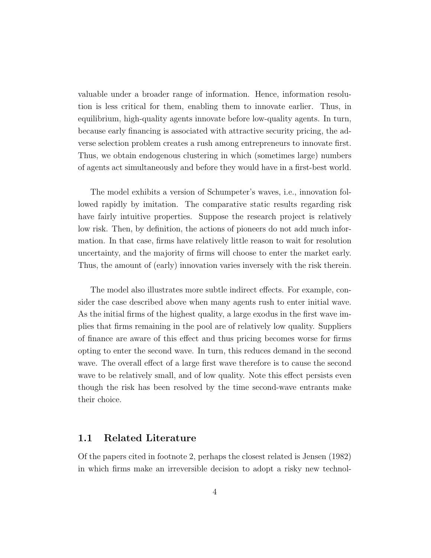valuable under a broader range of information. Hence, information resolution is less critical for them, enabling them to innovate earlier. Thus, in equilibrium, high-quality agents innovate before low-quality agents. In turn, because early financing is associated with attractive security pricing, the adverse selection problem creates a rush among entrepreneurs to innovate first. Thus, we obtain endogenous clustering in which (sometimes large) numbers of agents act simultaneously and before they would have in a first-best world.

The model exhibits a version of Schumpeter's waves, i.e., innovation followed rapidly by imitation. The comparative static results regarding risk have fairly intuitive properties. Suppose the research project is relatively low risk. Then, by definition, the actions of pioneers do not add much information. In that case, firms have relatively little reason to wait for resolution uncertainty, and the majority of firms will choose to enter the market early. Thus, the amount of (early) innovation varies inversely with the risk therein.

The model also illustrates more subtle indirect effects. For example, consider the case described above when many agents rush to enter initial wave. As the initial firms of the highest quality, a large exodus in the first wave implies that firms remaining in the pool are of relatively low quality. Suppliers of finance are aware of this effect and thus pricing becomes worse for firms opting to enter the second wave. In turn, this reduces demand in the second wave. The overall effect of a large first wave therefore is to cause the second wave to be relatively small, and of low quality. Note this effect persists even though the risk has been resolved by the time second-wave entrants make their choice.

#### 1.1 Related Literature

Of the papers cited in footnote 2, perhaps the closest related is Jensen (1982) in which firms make an irreversible decision to adopt a risky new technol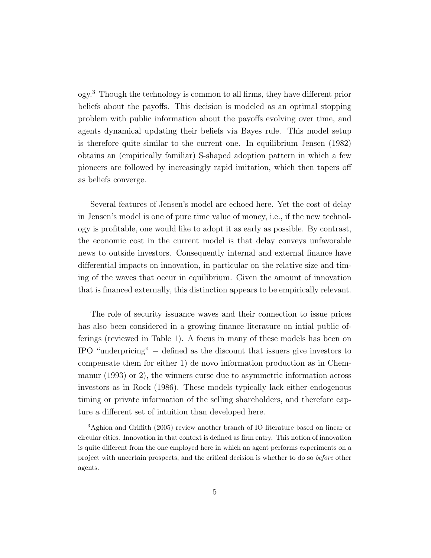ogy.<sup>3</sup> Though the technology is common to all firms, they have different prior beliefs about the payoffs. This decision is modeled as an optimal stopping problem with public information about the payoffs evolving over time, and agents dynamical updating their beliefs via Bayes rule. This model setup is therefore quite similar to the current one. In equilibrium Jensen (1982) obtains an (empirically familiar) S-shaped adoption pattern in which a few pioneers are followed by increasingly rapid imitation, which then tapers off as beliefs converge.

Several features of Jensen's model are echoed here. Yet the cost of delay in Jensen's model is one of pure time value of money, i.e., if the new technology is profitable, one would like to adopt it as early as possible. By contrast, the economic cost in the current model is that delay conveys unfavorable news to outside investors. Consequently internal and external finance have differential impacts on innovation, in particular on the relative size and timing of the waves that occur in equilibrium. Given the amount of innovation that is financed externally, this distinction appears to be empirically relevant.

The role of security issuance waves and their connection to issue prices has also been considered in a growing finance literature on intial public offerings (reviewed in Table 1). A focus in many of these models has been on IPO "underpricing" − defined as the discount that issuers give investors to compensate them for either 1) de novo information production as in Chemmanur (1993) or 2), the winners curse due to asymmetric information across investors as in Rock (1986). These models typically lack either endogenous timing or private information of the selling shareholders, and therefore capture a different set of intuition than developed here.

<sup>3</sup>Aghion and Griffith (2005) review another branch of IO literature based on linear or circular cities. Innovation in that context is defined as firm entry. This notion of innovation is quite different from the one employed here in which an agent performs experiments on a project with uncertain prospects, and the critical decision is whether to do so before other agents.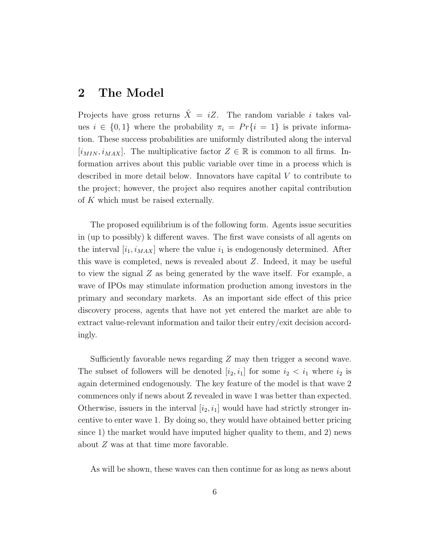#### 2 The Model

Projects have gross returns  $\tilde{X} = iZ$ . The random variable i takes values  $i \in \{0,1\}$  where the probability  $\pi_i = Pr\{i=1\}$  is private information. These success probabilities are uniformly distributed along the interval  $[i_{MIN}, i_{MAX}]$ . The multiplicative factor  $Z \in \mathbb{R}$  is common to all firms. Information arrives about this public variable over time in a process which is described in more detail below. Innovators have capital V to contribute to the project; however, the project also requires another capital contribution of K which must be raised externally.

The proposed equilibrium is of the following form. Agents issue securities in (up to possibly) k different waves. The first wave consists of all agents on the interval  $[i_1, i_{MAX}]$  where the value  $i_1$  is endogenously determined. After this wave is completed, news is revealed about  $Z$ . Indeed, it may be useful to view the signal Z as being generated by the wave itself. For example, a wave of IPOs may stimulate information production among investors in the primary and secondary markets. As an important side effect of this price discovery process, agents that have not yet entered the market are able to extract value-relevant information and tailor their entry/exit decision accordingly.

Sufficiently favorable news regarding Z may then trigger a second wave. The subset of followers will be denoted  $[i_2, i_1]$  for some  $i_2 < i_1$  where  $i_2$  is again determined endogenously. The key feature of the model is that wave 2 commences only if news about Z revealed in wave 1 was better than expected. Otherwise, issuers in the interval  $[i_2, i_1]$  would have had strictly stronger incentive to enter wave 1. By doing so, they would have obtained better pricing since 1) the market would have imputed higher quality to them, and 2) news about Z was at that time more favorable.

As will be shown, these waves can then continue for as long as news about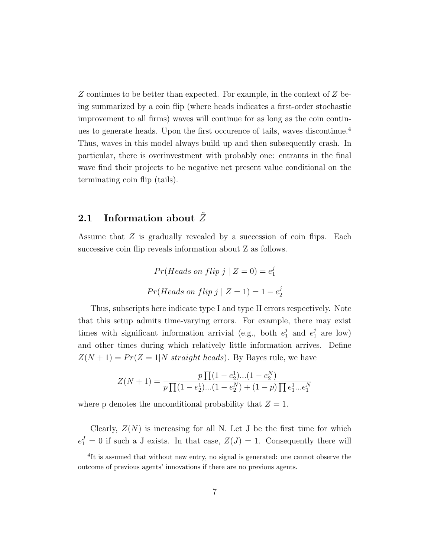Z continues to be better than expected. For example, in the context of Z being summarized by a coin flip (where heads indicates a first-order stochastic improvement to all firms) waves will continue for as long as the coin continues to generate heads. Upon the first occurence of tails, waves discontinue.<sup>4</sup> Thus, waves in this model always build up and then subsequently crash. In particular, there is overinvestment with probably one: entrants in the final wave find their projects to be negative net present value conditional on the terminating coin flip (tails).

### 2.1 Information about  $\tilde{Z}$

Assume that Z is gradually revealed by a succession of coin flips. Each successive coin flip reveals information about Z as follows.

$$
Pr(Heads on flip j \mid Z = 0) = e_1^j
$$
  

$$
Pr(Heads on flip j \mid Z = 1) = 1 - e_2^j
$$

Thus, subscripts here indicate type I and type II errors respectively. Note that this setup admits time-varying errors. For example, there may exist times with significant information arrivial (e.g., both  $e_1^j$  $i_1$  and  $e_1^j$  $_1^j$  are low) and other times during which relatively little information arrives. Define  $Z(N + 1) = Pr(Z = 1|N \, straight \, heads)$ . By Bayes rule, we have

$$
Z(N + 1) = \frac{p \prod (1 - e_2^1)...(1 - e_2^N)}{p \prod (1 - e_2^1)...(1 - e_2^N) + (1 - p) \prod e_1^1...e_1^N}
$$

where p denotes the unconditional probability that  $Z = 1$ .

Clearly,  $Z(N)$  is increasing for all N. Let J be the first time for which  $e_1^J = 0$  if such a J exists. In that case,  $Z(J) = 1$ . Consequently there will

<sup>&</sup>lt;sup>4</sup>It is assumed that without new entry, no signal is generated: one cannot observe the outcome of previous agents' innovations if there are no previous agents.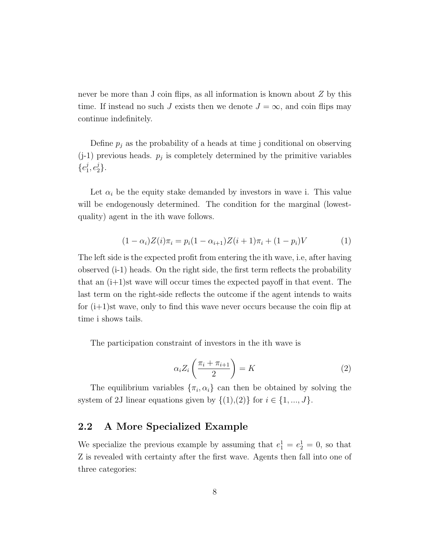never be more than J coin flips, as all information is known about Z by this time. If instead no such J exists then we denote  $J = \infty$ , and coin flips may continue indefinitely.

Define  $p_j$  as the probability of a heads at time j conditional on observing  $(j-1)$  previous heads.  $p_j$  is completely determined by the primitive variables  ${e_1^j}$  $j, e_2^j\}.$ 

Let  $\alpha_i$  be the equity stake demanded by investors in wave i. This value will be endogenously determined. The condition for the marginal (lowestquality) agent in the ith wave follows.

$$
(1 - \alpha_i)Z(i)\pi_i = p_i(1 - \alpha_{i+1})Z(i+1)\pi_i + (1 - p_i)V
$$
\n(1)

The left side is the expected profit from entering the ith wave, i.e, after having observed (i-1) heads. On the right side, the first term reflects the probability that an  $(i+1)$ st wave will occur times the expected payoff in that event. The last term on the right-side reflects the outcome if the agent intends to waits for  $(i+1)$ st wave, only to find this wave never occurs because the coin flip at time i shows tails.

The participation constraint of investors in the ith wave is

$$
\alpha_i Z_i \left( \frac{\pi_i + \pi_{i+1}}{2} \right) = K \tag{2}
$$

The equilibrium variables  $\{\pi_i, \alpha_i\}$  can then be obtained by solving the system of 2J linear equations given by  $\{(1),(2)\}$  for  $i \in \{1,...,J\}$ .

#### 2.2 A More Specialized Example

We specialize the previous example by assuming that  $e_1^1 = e_2^1 = 0$ , so that Z is revealed with certainty after the first wave. Agents then fall into one of three categories: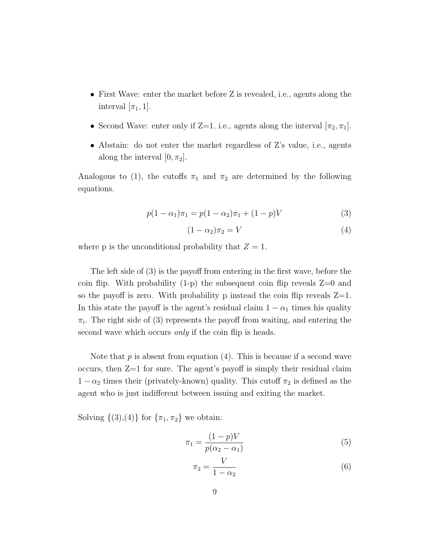- First Wave: enter the market before Z is revealed, i.e., agents along the interval  $[\pi_1, 1]$ .
- Second Wave: enter only if Z=1, i.e., agents along the interval  $[\pi_2, \pi_1]$ .
- Abstain: do not enter the market regardless of Z's value, i.e., agents along the interval  $[0, \pi_2]$ .

Analogous to (1), the cutoffs  $\pi_1$  and  $\pi_2$  are determined by the following equations.

$$
p(1 - \alpha_1)\pi_1 = p(1 - \alpha_2)\pi_1 + (1 - p)V \tag{3}
$$

$$
(1 - \alpha_2)\pi_2 = V \tag{4}
$$

where p is the unconditional probability that  $Z = 1$ .

The left side of (3) is the payoff from entering in the first wave, before the coin flip. With probability  $(1-p)$  the subsequent coin flip reveals  $Z=0$  and so the payoff is zero. With probability p instead the coin flip reveals  $Z=1$ . In this state the payoff is the agent's residual claim  $1 - \alpha_1$  times his quality  $\pi_i$ . The right side of (3) represents the payoff from waiting, and entering the second wave which occurs *only* if the coin flip is heads.

Note that  $p$  is absent from equation (4). This is because if a second wave occurs, then  $Z=1$  for sure. The agent's payoff is simply their residual claim  $1 - \alpha_2$  times their (privately-known) quality. This cutoff  $\pi_2$  is defined as the agent who is just indifferent between issuing and exiting the market.

Solving  $\{(3),(4)\}\$ for  $\{\pi_1,\pi_2\}$  we obtain:

$$
\pi_1 = \frac{(1-p)V}{p(\alpha_2 - \alpha_1)}\tag{5}
$$

$$
\pi_2 = \frac{V}{1 - \alpha_2} \tag{6}
$$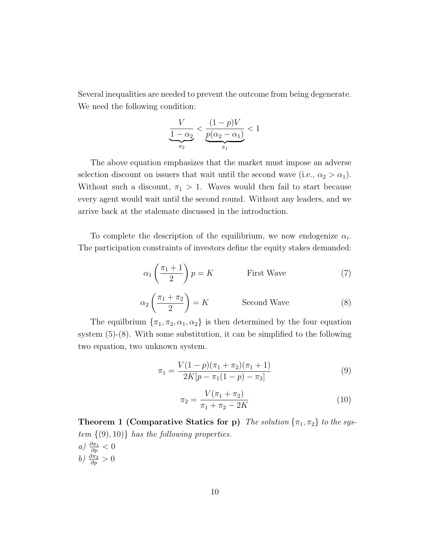Several inequalities are needed to prevent the outcome from being degenerate. We need the following condition:

$$
\underbrace{\frac{V}{1-\alpha_2}}_{\pi_2} < \underbrace{\frac{(1-p)V}{p(\alpha_2-\alpha_1)}}_{\pi_1} < 1
$$

The above equation emphasizes that the market must impose an adverse selection discount on issuers that wait until the second wave (i.e.,  $\alpha_2 > \alpha_1$ ). Without such a discount,  $\pi_1 > 1$ . Waves would then fail to start because every agent would wait until the second round. Without any leaders, and we arrive back at the stalemate discussed in the introduction.

To complete the description of the equilibrium, we now endogenize  $\alpha_i$ . The participation constraints of investors define the equity stakes demanded:

$$
\alpha_1 \left( \frac{\pi_1 + 1}{2} \right) p = K \qquad \qquad \text{First Wave} \tag{7}
$$

$$
\alpha_2 \left( \frac{\pi_1 + \pi_2}{2} \right) = K
$$
 Second Wave (8)

The equilbrium  $\{\pi_1, \pi_2, \alpha_1, \alpha_2\}$  is then determined by the four equation system (5)-(8). With some substitution, it can be simplified to the following two equation, two unknown system.

$$
\pi_1 = \frac{V(1-p)(\pi_1 + \pi_2)(\pi_1 + 1)}{2K[p - \pi_1(1-p) - \pi_2]}
$$
\n(9)

$$
\pi_2 = \frac{V(\pi_1 + \pi_2)}{\pi_1 + \pi_2 - 2K} \tag{10}
$$

**Theorem 1 (Comparative Statics for p)** The solution  $\{\pi_1, \pi_2\}$  to the system  $\{(9), 10\}$  has the following properties.

a)  $\frac{\partial \pi_1}{\partial p} < 0$ b)  $\frac{\partial \pi_2}{\partial p} > 0$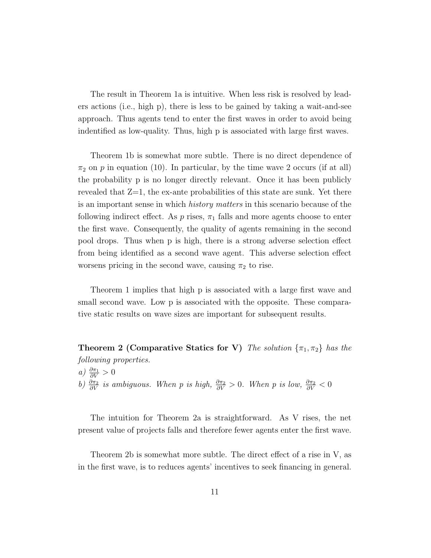The result in Theorem 1a is intuitive. When less risk is resolved by leaders actions (i.e., high p), there is less to be gained by taking a wait-and-see approach. Thus agents tend to enter the first waves in order to avoid being indentified as low-quality. Thus, high p is associated with large first waves.

Theorem 1b is somewhat more subtle. There is no direct dependence of  $\pi_2$  on p in equation (10). In particular, by the time wave 2 occurs (if at all) the probability p is no longer directly relevant. Once it has been publicly revealed that  $Z=1$ , the ex-ante probabilities of this state are sunk. Yet there is an important sense in which history matters in this scenario because of the following indirect effect. As p rises,  $\pi_1$  falls and more agents choose to enter the first wave. Consequently, the quality of agents remaining in the second pool drops. Thus when p is high, there is a strong adverse selection effect from being identified as a second wave agent. This adverse selection effect worsens pricing in the second wave, causing  $\pi_2$  to rise.

Theorem 1 implies that high p is associated with a large first wave and small second wave. Low p is associated with the opposite. These comparative static results on wave sizes are important for subsequent results.

**Theorem 2 (Comparative Statics for V)** The solution  $\{\pi_1, \pi_2\}$  has the following properties.

a)  $\frac{\partial \pi_1}{\partial V} > 0$ b)  $\frac{\partial \pi_2}{\partial V}$  is ambiguous. When p is high,  $\frac{\partial \pi_2}{\partial V} > 0$ . When p is low,  $\frac{\partial \pi_2}{\partial V} < 0$ 

The intuition for Theorem 2a is straightforward. As V rises, the net present value of projects falls and therefore fewer agents enter the first wave.

Theorem 2b is somewhat more subtle. The direct effect of a rise in V, as in the first wave, is to reduces agents' incentives to seek financing in general.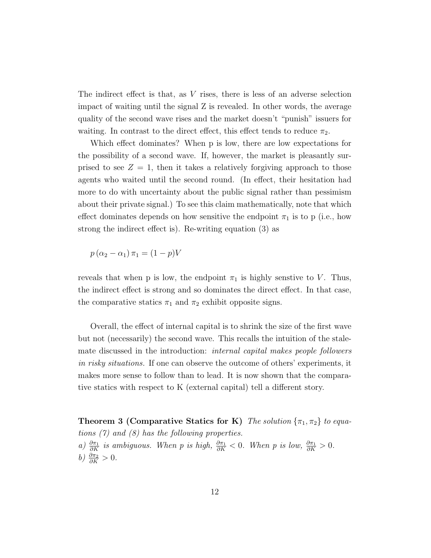The indirect effect is that, as V rises, there is less of an adverse selection impact of waiting until the signal Z is revealed. In other words, the average quality of the second wave rises and the market doesn't "punish" issuers for waiting. In contrast to the direct effect, this effect tends to reduce  $\pi_2$ .

Which effect dominates? When p is low, there are low expectations for the possibility of a second wave. If, however, the market is pleasantly surprised to see  $Z = 1$ , then it takes a relatively forgiving approach to those agents who waited until the second round. (In effect, their hesitation had more to do with uncertainty about the public signal rather than pessimism about their private signal.) To see this claim mathematically, note that which effect dominates depends on how sensitive the endpoint  $\pi_1$  is to p (i.e., how strong the indirect effect is). Re-writing equation (3) as

$$
p\left(\alpha_2 - \alpha_1\right)\pi_1 = (1 - p)V
$$

reveals that when p is low, the endpoint  $\pi_1$  is highly senstive to V. Thus, the indirect effect is strong and so dominates the direct effect. In that case, the comparative statics  $\pi_1$  and  $\pi_2$  exhibit opposite signs.

Overall, the effect of internal capital is to shrink the size of the first wave but not (necessarily) the second wave. This recalls the intuition of the stalemate discussed in the introduction: *internal capital makes people followers* in risky situations. If one can observe the outcome of others' experiments, it makes more sense to follow than to lead. It is now shown that the comparative statics with respect to K (external capital) tell a different story.

**Theorem 3 (Comparative Statics for K)** The solution  $\{\pi_1, \pi_2\}$  to equations (7) and (8) has the following properties. a)  $\frac{\partial \pi_1}{\partial K}$  is ambiguous. When p is high,  $\frac{\partial \pi_1}{\partial K} < 0$ . When p is low,  $\frac{\partial \pi_1}{\partial K} > 0$ . b)  $\frac{\partial \pi_2}{\partial K} > 0$ .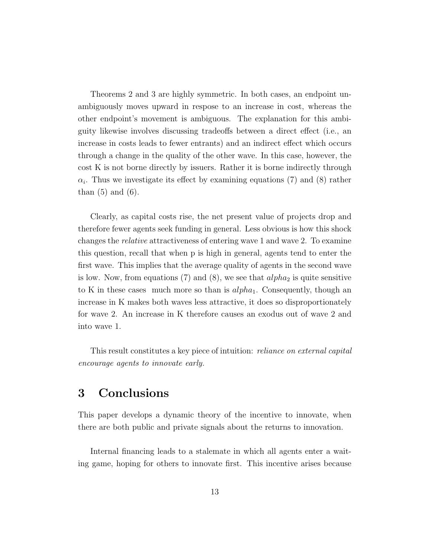Theorems 2 and 3 are highly symmetric. In both cases, an endpoint unambiguously moves upward in respose to an increase in cost, whereas the other endpoint's movement is ambiguous. The explanation for this ambiguity likewise involves discussing tradeoffs between a direct effect (i.e., an increase in costs leads to fewer entrants) and an indirect effect which occurs through a change in the quality of the other wave. In this case, however, the cost K is not borne directly by issuers. Rather it is borne indirectly through  $\alpha_i$ . Thus we investigate its effect by examining equations (7) and (8) rather than  $(5)$  and  $(6)$ .

Clearly, as capital costs rise, the net present value of projects drop and therefore fewer agents seek funding in general. Less obvious is how this shock changes the relative attractiveness of entering wave 1 and wave 2. To examine this question, recall that when p is high in general, agents tend to enter the first wave. This implies that the average quality of agents in the second wave is low. Now, from equations (7) and (8), we see that  $alpha_2$  is quite sensitive to K in these cases much more so than is  $alpha_1$ . Consequently, though an increase in K makes both waves less attractive, it does so disproportionately for wave 2. An increase in K therefore causes an exodus out of wave 2 and into wave 1.

This result constitutes a key piece of intuition: reliance on external capital encourage agents to innovate early.

## 3 Conclusions

This paper develops a dynamic theory of the incentive to innovate, when there are both public and private signals about the returns to innovation.

Internal financing leads to a stalemate in which all agents enter a waiting game, hoping for others to innovate first. This incentive arises because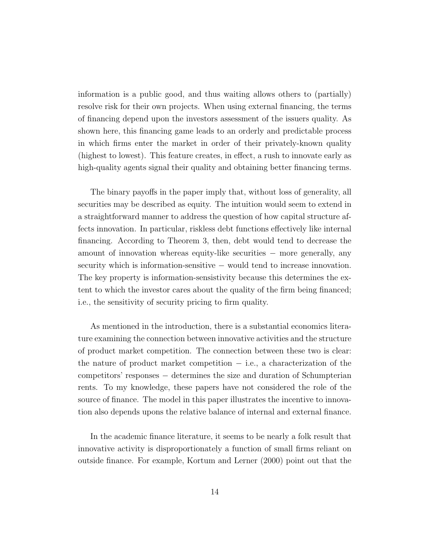information is a public good, and thus waiting allows others to (partially) resolve risk for their own projects. When using external financing, the terms of financing depend upon the investors assessment of the issuers quality. As shown here, this financing game leads to an orderly and predictable process in which firms enter the market in order of their privately-known quality (highest to lowest). This feature creates, in effect, a rush to innovate early as high-quality agents signal their quality and obtaining better financing terms.

The binary payoffs in the paper imply that, without loss of generality, all securities may be described as equity. The intuition would seem to extend in a straightforward manner to address the question of how capital structure affects innovation. In particular, riskless debt functions effectively like internal financing. According to Theorem 3, then, debt would tend to decrease the amount of innovation whereas equity-like securities − more generally, any security which is information-sensitive − would tend to increase innovation. The key property is information-sensistivity because this determines the extent to which the investor cares about the quality of the firm being financed; i.e., the sensitivity of security pricing to firm quality.

As mentioned in the introduction, there is a substantial economics literature examining the connection between innovative activities and the structure of product market competition. The connection between these two is clear: the nature of product market competition  $-$  i.e., a characterization of the competitors' responses − determines the size and duration of Schumpterian rents. To my knowledge, these papers have not considered the role of the source of finance. The model in this paper illustrates the incentive to innovation also depends upons the relative balance of internal and external finance.

In the academic finance literature, it seems to be nearly a folk result that innovative activity is disproportionately a function of small firms reliant on outside finance. For example, Kortum and Lerner (2000) point out that the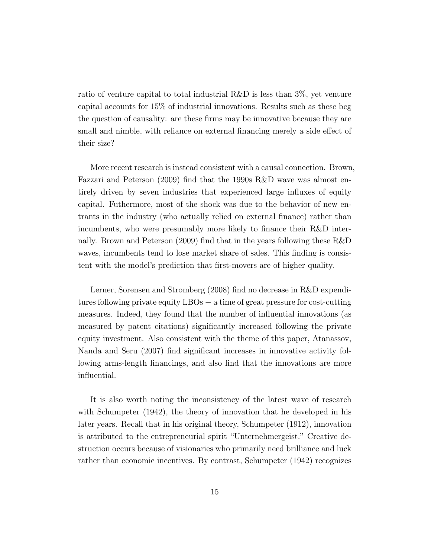ratio of venture capital to total industrial R&D is less than 3%, yet venture capital accounts for 15% of industrial innovations. Results such as these beg the question of causality: are these firms may be innovative because they are small and nimble, with reliance on external financing merely a side effect of their size?

More recent research is instead consistent with a causal connection. Brown, Fazzari and Peterson (2009) find that the 1990s R&D wave was almost entirely driven by seven industries that experienced large influxes of equity capital. Futhermore, most of the shock was due to the behavior of new entrants in the industry (who actually relied on external finance) rather than incumbents, who were presumably more likely to finance their R&D internally. Brown and Peterson (2009) find that in the years following these R&D waves, incumbents tend to lose market share of sales. This finding is consistent with the model's prediction that first-movers are of higher quality.

Lerner, Sorensen and Stromberg (2008) find no decrease in R&D expenditures following private equity LBOs − a time of great pressure for cost-cutting measures. Indeed, they found that the number of influential innovations (as measured by patent citations) significantly increased following the private equity investment. Also consistent with the theme of this paper, Atanassov, Nanda and Seru (2007) find significant increases in innovative activity following arms-length financings, and also find that the innovations are more influential.

It is also worth noting the inconsistency of the latest wave of research with Schumpeter (1942), the theory of innovation that he developed in his later years. Recall that in his original theory, Schumpeter (1912), innovation is attributed to the entrepreneurial spirit "Unternehmergeist." Creative destruction occurs because of visionaries who primarily need brilliance and luck rather than economic incentives. By contrast, Schumpeter (1942) recognizes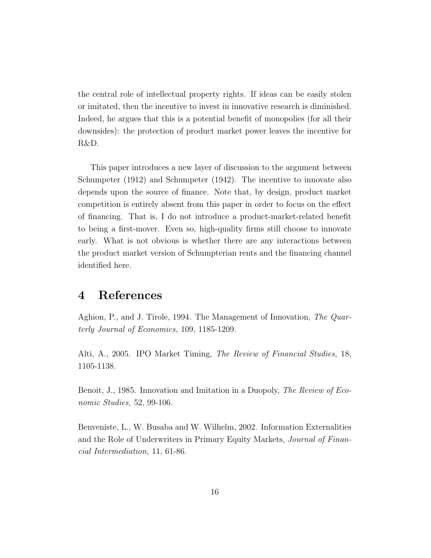the central role of intellectual property rights. If ideas can be easily stolen or imitated, then the incentive to invest in innovative research is diminished. Indeed, he argues that this is a potential benefit of monopolies (for all their downsides): the protection of product market power leaves the incentive for R&D.

This paper introduces a new layer of discussion to the argument between Schumpeter (1912) and Schumpeter (1942). The incentive to innovate also depends upon the source of finance. Note that, by design, product market competition is entirely absent from this paper in order to focus on the effect of financing. That is, I do not introduce a product-market-related benefit to being a first-mover. Even so, high-quality firms still choose to innovate early. What is not obvious is whether there are any interactions between the product market version of Schumpterian rents and the financing channel identified here.

### 4 References

Aghion, P., and J. Tirole, 1994. The Management of Innovation, The Quarterly Journal of Economics, 109, 1185-1209.

Alti, A., 2005. IPO Market Timing, The Review of Financial Studies, 18, 1105-1138.

Benoit, J., 1985. Innovation and Imitation in a Duopoly, The Review of Economic Studies, 52, 99-106.

Benveniste, L., W. Busaba and W. Wilhelm, 2002. Information Externalities and the Role of Underwriters in Primary Equity Markets, Journal of Financial Intermediation, 11, 61-86.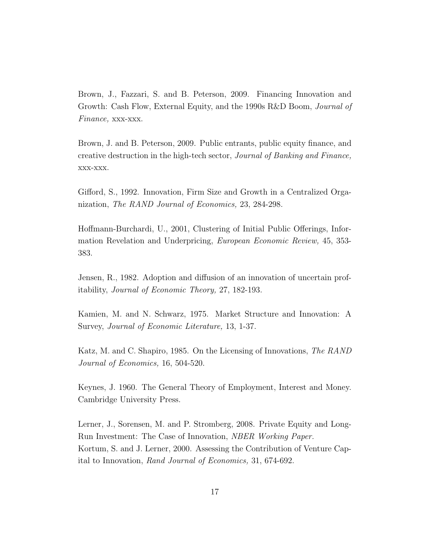Brown, J., Fazzari, S. and B. Peterson, 2009. Financing Innovation and Growth: Cash Flow, External Equity, and the 1990s R&D Boom, Journal of Finance, xxx-xxx.

Brown, J. and B. Peterson, 2009. Public entrants, public equity finance, and creative destruction in the high-tech sector, Journal of Banking and Finance, xxx-xxx.

Gifford, S., 1992. Innovation, Firm Size and Growth in a Centralized Organization, The RAND Journal of Economics, 23, 284-298.

Hoffmann-Burchardi, U., 2001, Clustering of Initial Public Offerings, Information Revelation and Underpricing, European Economic Review, 45, 353- 383.

Jensen, R., 1982. Adoption and diffusion of an innovation of uncertain profitability, Journal of Economic Theory, 27, 182-193.

Kamien, M. and N. Schwarz, 1975. Market Structure and Innovation: A Survey, Journal of Economic Literature, 13, 1-37.

Katz, M. and C. Shapiro, 1985. On the Licensing of Innovations, The RAND Journal of Economics, 16, 504-520.

Keynes, J. 1960. The General Theory of Employment, Interest and Money. Cambridge University Press.

Lerner, J., Sorensen, M. and P. Stromberg, 2008. Private Equity and Long-Run Investment: The Case of Innovation, NBER Working Paper. Kortum, S. and J. Lerner, 2000. Assessing the Contribution of Venture Capital to Innovation, Rand Journal of Economics, 31, 674-692.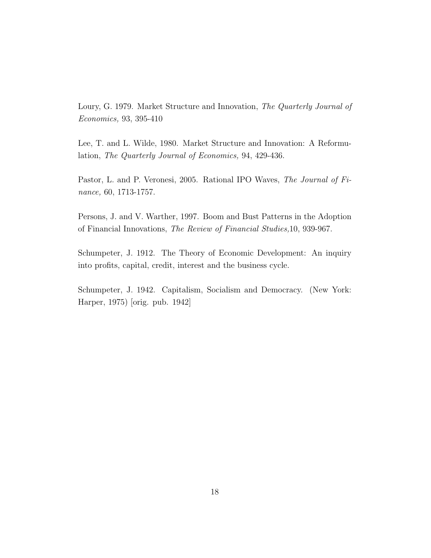Loury, G. 1979. Market Structure and Innovation, The Quarterly Journal of Economics, 93, 395-410

Lee, T. and L. Wilde, 1980. Market Structure and Innovation: A Reformulation, The Quarterly Journal of Economics, 94, 429-436.

Pastor, L. and P. Veronesi, 2005. Rational IPO Waves, The Journal of Finance, 60, 1713-1757.

Persons, J. and V. Warther, 1997. Boom and Bust Patterns in the Adoption of Financial Innovations, The Review of Financial Studies,10, 939-967.

Schumpeter, J. 1912. The Theory of Economic Development: An inquiry into profits, capital, credit, interest and the business cycle.

Schumpeter, J. 1942. Capitalism, Socialism and Democracy. (New York: Harper, 1975) [orig. pub. 1942]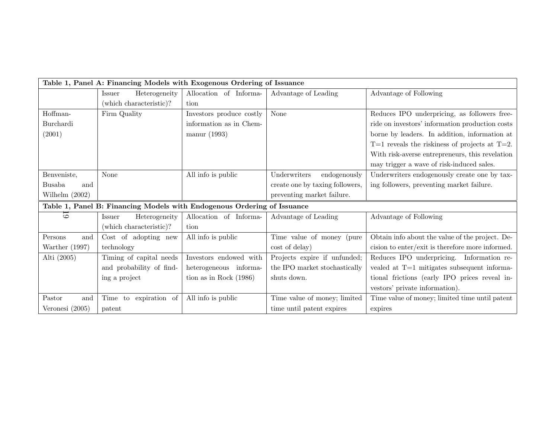| Table 1, Panel A: Financing Models with Exogenous Ordering of Issuance  |                          |                          |                                 |                                                    |
|-------------------------------------------------------------------------|--------------------------|--------------------------|---------------------------------|----------------------------------------------------|
|                                                                         | Heterogeneity<br>Issuer  | Allocation of Informa-   | Advantage of Leading            | Advantage of Following                             |
|                                                                         | (which characteristic)?  | tion                     |                                 |                                                    |
| Hoffman-                                                                | Firm Quality             | Investors produce costly | None                            | Reduces IPO underpricing, as followers free-       |
| Burchardi                                                               |                          | information as in Chem-  |                                 | ride on investors' information production costs    |
| (2001)                                                                  |                          | manur $(1993)$           |                                 | borne by leaders. In addition, information at      |
|                                                                         |                          |                          |                                 | $T=1$ reveals the riskiness of projects at $T=2$ . |
|                                                                         |                          |                          |                                 | With risk-averse entrepreneurs, this revelation    |
|                                                                         |                          |                          |                                 | may trigger a wave of risk-induced sales.          |
| Benveniste,                                                             | None                     | All info is public       | Underwriters<br>endogenously    | Underwriters endogenously create one by tax-       |
| <b>Busaba</b><br>and                                                    |                          |                          | create one by taxing followers, | ing followers, preventing market failure.          |
| Wilhelm $(2002)$                                                        |                          |                          | preventing market failure.      |                                                    |
| Table 1, Panel B: Financing Models with Endogenous Ordering of Issuance |                          |                          |                                 |                                                    |
| $\circ$                                                                 | Heterogeneity<br>Issuer  | Allocation of Informa-   | Advantage of Leading            | Advantage of Following                             |
|                                                                         | (which characteristic)?  | tion                     |                                 |                                                    |
| Persons<br>and                                                          | Cost of adopting new     | All info is public       | Time value of money (pure       | Obtain info about the value of the project. De-    |
| Warther (1997)                                                          | technology               |                          | cost of delay)                  | cision to enter/exit is therefore more informed.   |
| Alti (2005)                                                             | Timing of capital needs  | Investors endowed with   | Projects expire if unfunded;    | Reduces IPO underpricing. Information re-          |
|                                                                         | and probability of find- | heterogeneous informa-   | the IPO market stochastically   | vealed at T=1 mitigates subsequent informa-        |
|                                                                         | ing a project            | tion as in Rock $(1986)$ | shuts down.                     | tional frictions (early IPO prices reveal in-      |
|                                                                         |                          |                          |                                 | vestors' private information).                     |
| Pastor<br>and                                                           | Time to expiration of    | All info is public       | Time value of money; limited    | Time value of money; limited time until patent     |
| Veronesi $(2005)$                                                       | patent                   |                          | time until patent expires       | expires                                            |